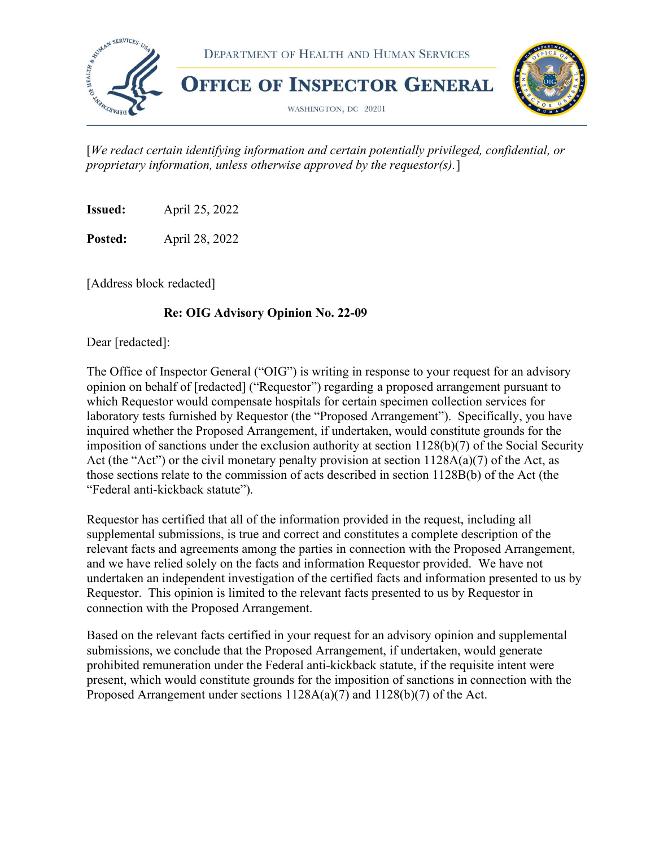

 [We redact certain identifying information and certain potentially privileged, confidential, or proprietary information, unless otherwise approved by the requestor(s).]

Issued: April 25, 2022

Posted: April 28, 2022

[Address block redacted]

#### Re: OIG Advisory Opinion No. 22-09

Dear [redacted]:

 The Office of Inspector General ("OIG") is writing in response to your request for an advisory opinion on behalf of [redacted] ("Requestor") regarding a proposed arrangement pursuant to which Requestor would compensate hospitals for certain specimen collection services for laboratory tests furnished by Requestor (the "Proposed Arrangement"). Specifically, you have inquired whether the Proposed Arrangement, if undertaken, would constitute grounds for the imposition of sanctions under the exclusion authority at section 1128(b)(7) of the Social Security Act (the "Act") or the civil monetary penalty provision at section  $1128A(a)(7)$  of the Act, as those sections relate to the commission of acts described in section 1128B(b) of the Act (the "Federal anti-kickback statute").

 Requestor has certified that all of the information provided in the request, including all supplemental submissions, is true and correct and constitutes a complete description of the relevant facts and agreements among the parties in connection with the Proposed Arrangement, and we have relied solely on the facts and information Requestor provided. We have not undertaken an independent investigation of the certified facts and information presented to us by Requestor. This opinion is limited to the relevant facts presented to us by Requestor in connection with the Proposed Arrangement.

 Based on the relevant facts certified in your request for an advisory opinion and supplemental submissions, we conclude that the Proposed Arrangement, if undertaken, would generate prohibited remuneration under the Federal anti-kickback statute, if the requisite intent were present, which would constitute grounds for the imposition of sanctions in connection with the Proposed Arrangement under sections 1128A(a)(7) and 1128(b)(7) of the Act.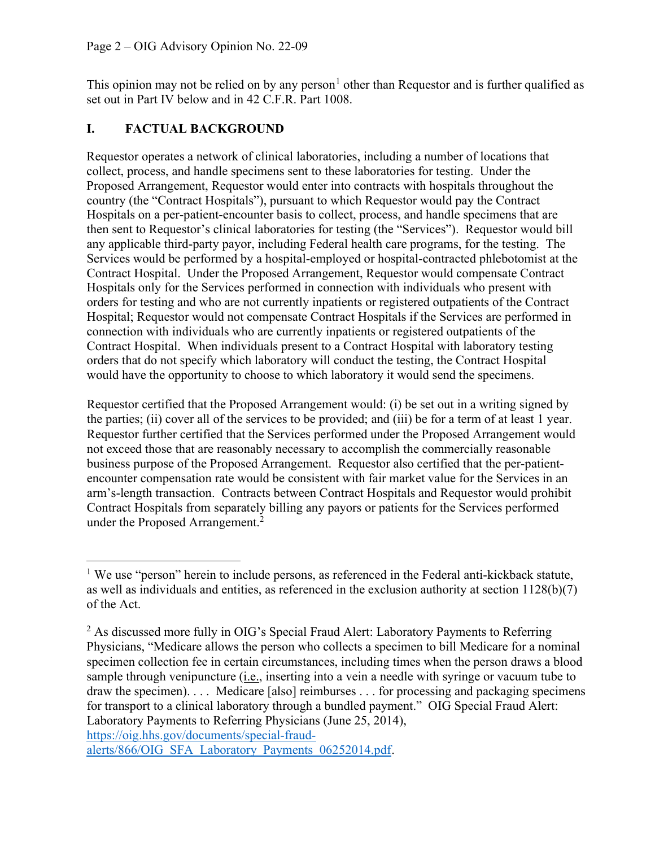This opinion may not be relied on by any person<sup>1</sup> other than Requestor and is further qualified as set out in Part IV below and in 42 C.F.R. Part 1008.

### I. FACTUAL BACKGROUND

 Requestor operates a network of clinical laboratories, including a number of locations that collect, process, and handle specimens sent to these laboratories for testing. Under the Proposed Arrangement, Requestor would enter into contracts with hospitals throughout the country (the "Contract Hospitals"), pursuant to which Requestor would pay the Contract Hospitals on a per-patient-encounter basis to collect, process, and handle specimens that are then sent to Requestor's clinical laboratories for testing (the "Services"). Requestor would bill any applicable third-party payor, including Federal health care programs, for the testing. The Services would be performed by a hospital-employed or hospital-contracted phlebotomist at the Contract Hospital. Under the Proposed Arrangement, Requestor would compensate Contract Hospitals only for the Services performed in connection with individuals who present with orders for testing and who are not currently inpatients or registered outpatients of the Contract Hospital; Requestor would not compensate Contract Hospitals if the Services are performed in connection with individuals who are currently inpatients or registered outpatients of the Contract Hospital. When individuals present to a Contract Hospital with laboratory testing orders that do not specify which laboratory will conduct the testing, the Contract Hospital would have the opportunity to choose to which laboratory it would send the specimens.

 Requestor certified that the Proposed Arrangement would: (i) be set out in a writing signed by the parties; (ii) cover all of the services to be provided; and (iii) be for a term of at least 1 year. Requestor further certified that the Services performed under the Proposed Arrangement would not exceed those that are reasonably necessary to accomplish the commercially reasonable business purpose of the Proposed Arrangement. Requestor also certified that the per-patient- encounter compensation rate would be consistent with fair market value for the Services in an arm's-length transaction. Contracts between Contract Hospitals and Requestor would prohibit Contract Hospitals from separately billing any payors or patients for the Services performed under the Proposed Arrangement.<sup>2</sup>

<sup>&</sup>lt;sup>1</sup> We use "person" herein to include persons, as referenced in the Federal anti-kickback statute, as well as individuals and entities, as referenced in the exclusion authority at section 1128(b)(7) of the Act.

 $2$  As discussed more fully in OIG's Special Fraud Alert: Laboratory Payments to Referring Physicians, "Medicare allows the person who collects a specimen to bill Medicare for a nominal specimen collection fee in certain circumstances, including times when the person draws a blood sample through venipuncture (*i.e.*, inserting into a vein a needle with syringe or vacuum tube to draw the specimen). . . . Medicare [also] reimburses . . . for processing and packaging specimens for transport to a clinical laboratory through a bundled payment." OIG Special Fraud Alert: Laboratory Payments to Referring Physicians (June 25, 2014), <https://oig.hhs.gov/documents/special-fraud>-

alerts/866/OIG\_SFA\_Laboratory\_Payments\_06252014.pdf.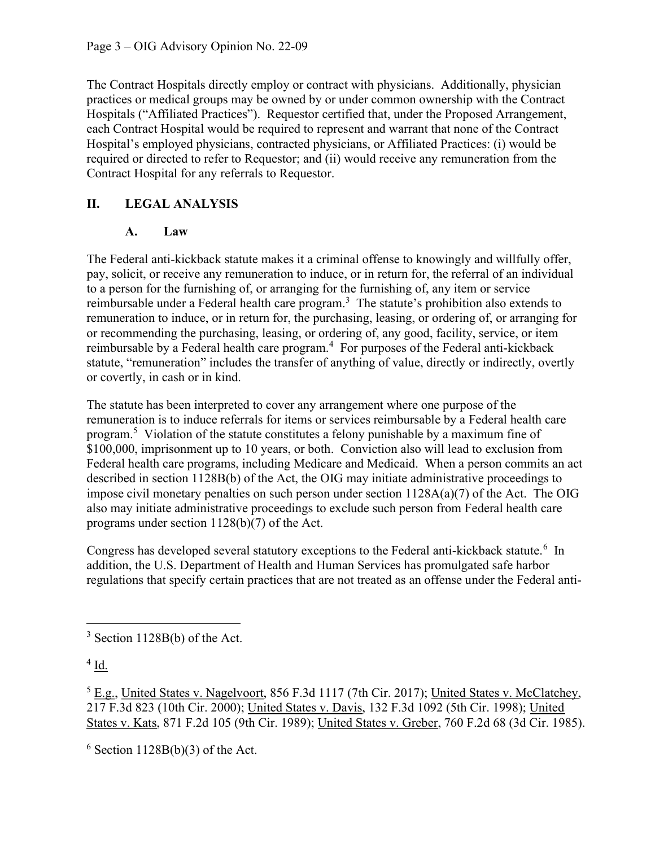The Contract Hospitals directly employ or contract with physicians. Additionally, physician practices or medical groups may be owned by or under common ownership with the Contract Hospitals ("Affiliated Practices"). Requestor certified that, under the Proposed Arrangement, each Contract Hospital would be required to represent and warrant that none of the Contract Hospital's employed physicians, contracted physicians, or Affiliated Practices: (i) would be required or directed to refer to Requestor; and (ii) would receive any remuneration from the Contract Hospital for any referrals to Requestor.

### II. LEGAL ANALYSIS

#### A. Law

 The Federal anti-kickback statute makes it a criminal offense to knowingly and willfully offer, pay, solicit, or receive any remuneration to induce, or in return for, the referral of an individual to a person for the furnishing of, or arranging for the furnishing of, any item or service reimbursable under a Federal health care program.<sup>3</sup> The statute's prohibition also extends to remuneration to induce, or in return for, the purchasing, leasing, or ordering of, or arranging for or recommending the purchasing, leasing, or ordering of, any good, facility, service, or item reimbursable by a Federal health care program.<sup>4</sup> For purposes of the Federal anti-kickback statute, "remuneration" includes the transfer of anything of value, directly or indirectly, overtly or covertly, in cash or in kind.

 The statute has been interpreted to cover any arrangement where one purpose of the remuneration is to induce referrals for items or services reimbursable by a Federal health care program.<sup>5</sup> Violation of the statute constitutes a felony punishable by a maximum fine of \$100,000, imprisonment up to 10 years, or both. Conviction also will lead to exclusion from Federal health care programs, including Medicare and Medicaid. When a person commits an act described in section 1128B(b) of the Act, the OIG may initiate administrative proceedings to impose civil monetary penalties on such person under section 1128A(a)(7) of the Act. The OIG also may initiate administrative proceedings to exclude such person from Federal health care programs under section 1128(b)(7) of the Act.

Congress has developed several statutory exceptions to the Federal anti-kickback statute.<sup>6</sup> In addition, the U.S. Department of Health and Human Services has promulgated safe harbor regulations that specify certain practices that are not treated as an offense under the Federal anti-

 $3$  Section 1128B(b) of the Act.

 $4$  Id.

 $^5$  E.g., United States v. Nagelvoort, 856 F.3d 1117 (7th Cir. 2017); United States v. McClatchey, 217 F.3d 823 (10th Cir. 2000); United States v. Davis, 132 F.3d 1092 (5th Cir. 1998); United States v. Kats, 871 F.2d 105 (9th Cir. 1989); United States v. Greber, 760 F.2d 68 (3d Cir. 1985).

 $6$  Section 1128B(b)(3) of the Act.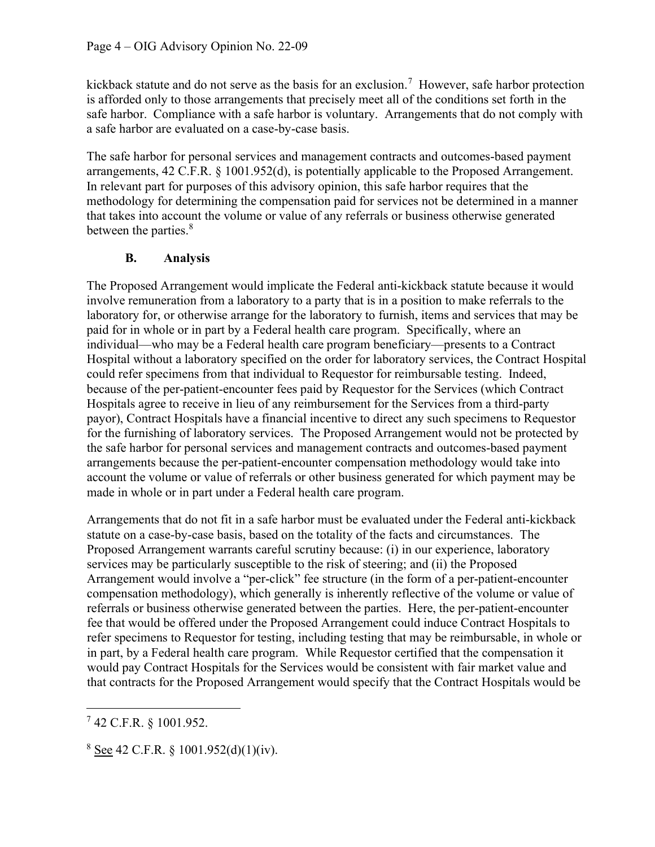kickback statute and do not serve as the basis for an exclusion.<sup>7</sup> However, safe harbor protection is afforded only to those arrangements that precisely meet all of the conditions set forth in the safe harbor. Compliance with a safe harbor is voluntary. Arrangements that do not comply with a safe harbor are evaluated on a case-by-case basis.

 The safe harbor for personal services and management contracts and outcomes-based payment arrangements, 42 C.F.R. § 1001.952(d), is potentially applicable to the Proposed Arrangement. In relevant part for purposes of this advisory opinion, this safe harbor requires that the methodology for determining the compensation paid for services not be determined in a manner that takes into account the volume or value of any referrals or business otherwise generated between the parties.<sup>8</sup>

#### B. Analysis

 The Proposed Arrangement would implicate the Federal anti-kickback statute because it would involve remuneration from a laboratory to a party that is in a position to make referrals to the laboratory for, or otherwise arrange for the laboratory to furnish, items and services that may be paid for in whole or in part by a Federal health care program. Specifically, where an individual—who may be a Federal health care program beneficiary—presents to a Contract Hospital without a laboratory specified on the order for laboratory services, the Contract Hospital could refer specimens from that individual to Requestor for reimbursable testing. Indeed, because of the per-patient-encounter fees paid by Requestor for the Services (which Contract Hospitals agree to receive in lieu of any reimbursement for the Services from a third-party payor), Contract Hospitals have a financial incentive to direct any such specimens to Requestor for the furnishing of laboratory services. The Proposed Arrangement would not be protected by the safe harbor for personal services and management contracts and outcomes-based payment arrangements because the per-patient-encounter compensation methodology would take into account the volume or value of referrals or other business generated for which payment may be made in whole or in part under a Federal health care program.

 Arrangements that do not fit in a safe harbor must be evaluated under the Federal anti-kickback statute on a case-by-case basis, based on the totality of the facts and circumstances. The Proposed Arrangement warrants careful scrutiny because: (i) in our experience, laboratory services may be particularly susceptible to the risk of steering; and (ii) the Proposed Arrangement would involve a "per-click" fee structure (in the form of a per-patient-encounter compensation methodology), which generally is inherently reflective of the volume or value of referrals or business otherwise generated between the parties. Here, the per-patient-encounter fee that would be offered under the Proposed Arrangement could induce Contract Hospitals to refer specimens to Requestor for testing, including testing that may be reimbursable, in whole or in part, by a Federal health care program. While Requestor certified that the compensation it would pay Contract Hospitals for the Services would be consistent with fair market value and that contracts for the Proposed Arrangement would specify that the Contract Hospitals would be

 $7$  42 C.F.R. § 1001.952.

 $8 \text{ See } 42 \text{ C.F.R. } § 1001.952(d)(1)(iv).$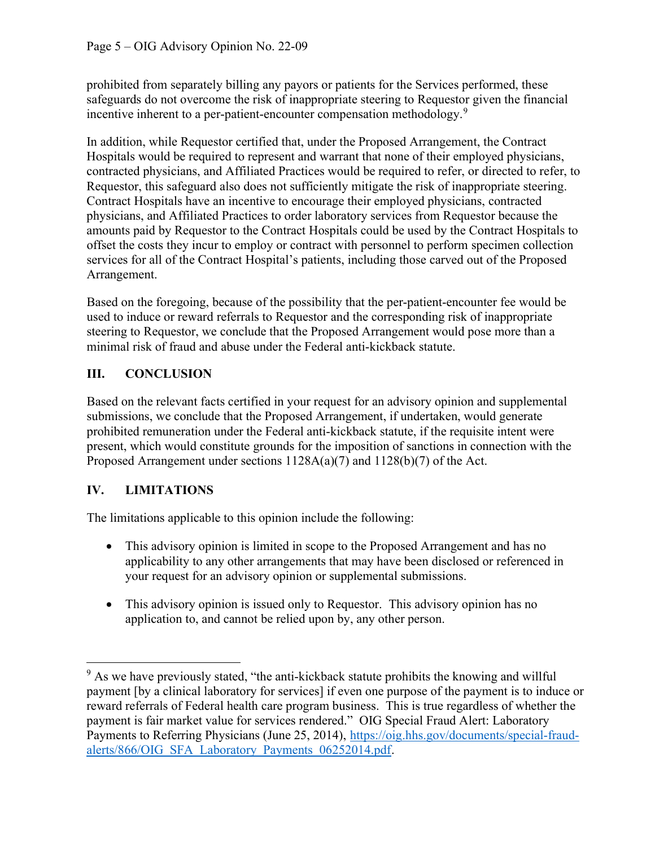prohibited from separately billing any payors or patients for the Services performed, these safeguards do not overcome the risk of inappropriate steering to Requestor given the financial incentive inherent to a per-patient-encounter compensation methodology.<sup>9</sup>

 In addition, while Requestor certified that, under the Proposed Arrangement, the Contract Hospitals would be required to represent and warrant that none of their employed physicians, contracted physicians, and Affiliated Practices would be required to refer, or directed to refer, to Requestor, this safeguard also does not sufficiently mitigate the risk of inappropriate steering. Contract Hospitals have an incentive to encourage their employed physicians, contracted physicians, and Affiliated Practices to order laboratory services from Requestor because the amounts paid by Requestor to the Contract Hospitals could be used by the Contract Hospitals to offset the costs they incur to employ or contract with personnel to perform specimen collection services for all of the Contract Hospital's patients, including those carved out of the Proposed Arrangement.

 Based on the foregoing, because of the possibility that the per-patient-encounter fee would be used to induce or reward referrals to Requestor and the corresponding risk of inappropriate steering to Requestor, we conclude that the Proposed Arrangement would pose more than a minimal risk of fraud and abuse under the Federal anti-kickback statute.

# III. CONCLUSION

 Based on the relevant facts certified in your request for an advisory opinion and supplemental submissions, we conclude that the Proposed Arrangement, if undertaken, would generate prohibited remuneration under the Federal anti-kickback statute, if the requisite intent were present, which would constitute grounds for the imposition of sanctions in connection with the Proposed Arrangement under sections 1128A(a)(7) and 1128(b)(7) of the Act.

# IV. LIMITATIONS

The limitations applicable to this opinion include the following:

- This advisory opinion is limited in scope to the Proposed Arrangement and has no applicability to any other arrangements that may have been disclosed or referenced in your request for an advisory opinion or supplemental submissions.
- This advisory opinion is issued only to Requestor. This advisory opinion has no application to, and cannot be relied upon by, any other person.

 $9$  As we have previously stated, "the anti-kickback statute prohibits the knowing and willful payment [by a clinical laboratory for services] if even one purpose of the payment is to induce or reward referrals of Federal health care program business. This is true regardless of whether the payment is fair market value for services rendered." OIG Special Fraud Alert: Laboratory Payments to Referring Physicians (June 25, 2014), <https://oig.hhs.gov/documents/special-fraud>alerts/866/OIG\_SFA\_Laboratory\_Payments\_06252014.pdf.